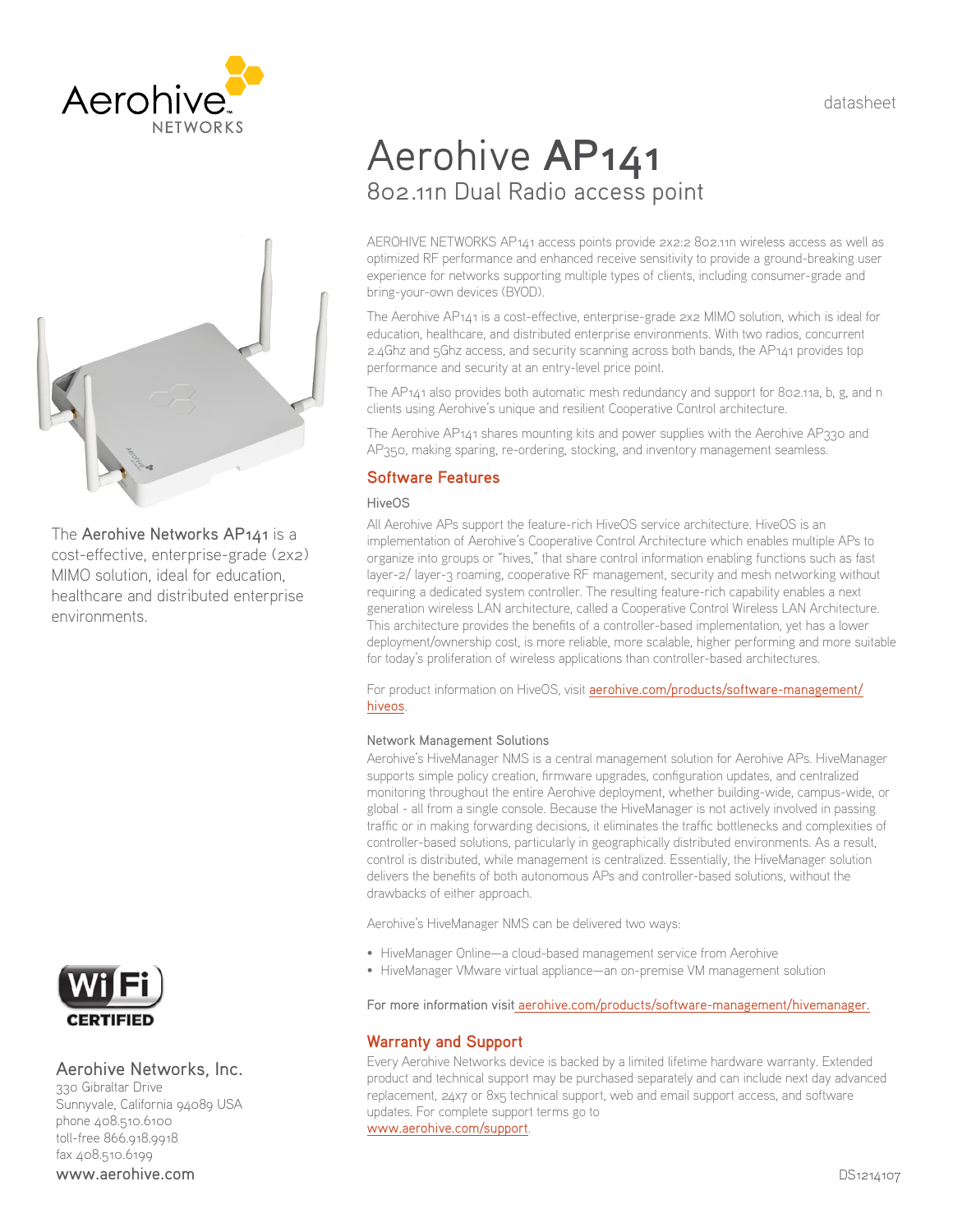datasheet





The Aerohive Networks AP141 is a cost-effective, enterprise-grade (2x2) MIMO solution, ideal for education, healthcare and distributed enterprise environments.



## Aerohive Networks, Inc.

330 Gibraltar Drive Sunnyvale, California 94089 USA phone 408.510.6100 toll-free 866.918.9918 fax 408.510.6199 www.aerohive.com

# Aerohive **AP141** 802.11n Dual Radio access point

AEROHIVE NETWORKS AP141 access points provide 2x2:2 802.11n wireless access as well as optimized RF performance and enhanced receive sensitivity to provide a ground-breaking user experience for networks supporting multiple types of clients, including consumer-grade and bring-your-own devices (BYOD).

The Aerohive AP141 is a cost-effective, enterprise-grade 2x2 MIMO solution, which is ideal for education, healthcare, and distributed enterprise environments. With two radios, concurrent 2.4Ghz and 5Ghz access, and security scanning across both bands, the AP141 provides top performance and security at an entry-level price point.

The AP141 also provides both automatic mesh redundancy and support for 802.11a, b, g, and n clients using Aerohive's unique and resilient Cooperative Control architecture.

The Aerohive  $AP_{141}$  shares mounting kits and power supplies with the Aerohive  $AP_{330}$  and AP350, making sparing, re-ordering, stocking, and inventory management seamless.

## **Software Features**

## HiveOS

All Aerohive APs support the feature-rich HiveOS service architecture. HiveOS is an implementation of Aerohive's Cooperative Control Architecture which enables multiple APs to organize into groups or "hives," that share control information enabling functions such as fast layer-2/ layer-3 roaming, cooperative RF management, security and mesh networking without requiring a dedicated system controller. The resulting feature-rich capability enables a next generation wireless LAN architecture, called a Cooperative Control Wireless LAN Architecture. This architecture provides the benefits of a controller-based implementation, yet has a lower deployment/ownership cost, is more reliable, more scalable, higher performing and more suitable for today's proliferation of wireless applications than controller-based architectures.

For product information on HiveOS, visit aerohive.com/products/software-management/ hiveos.

## Network Management Solutions

Aerohive's HiveManager NMS is a central management solution for Aerohive APs. HiveManager supports simple policy creation, firmware upgrades, configuration updates, and centralized monitoring throughout the entire Aerohive deployment, whether building-wide, campus-wide, or global - all from a single console. Because the HiveManager is not actively involved in passing traffic or in making forwarding decisions, it eliminates the traffic bottlenecks and complexities of controller-based solutions, particularly in geographically distributed environments. As a result, control is distributed, while management is centralized. Essentially, the HiveManager solution delivers the benefits of both autonomous APs and controller-based solutions, without the drawbacks of either approach.

Aerohive's HiveManager NMS can be delivered two ways:

- HiveManager Online—a cloud-based management service from Aerohive
- HiveManager VMware virtual appliance—an on-premise VM management solution

For more information visit aerohive.com/products/software-management/hivemanager.

## **Warranty and Support**

Every Aerohive Networks device is backed by a limited lifetime hardware warranty. Extended product and technical support may be purchased separately and can include next day advanced replacement, 24x7 or 8x5 technical support, web and email support access, and software updates. For complete support terms go to www.aerohive.com/support.